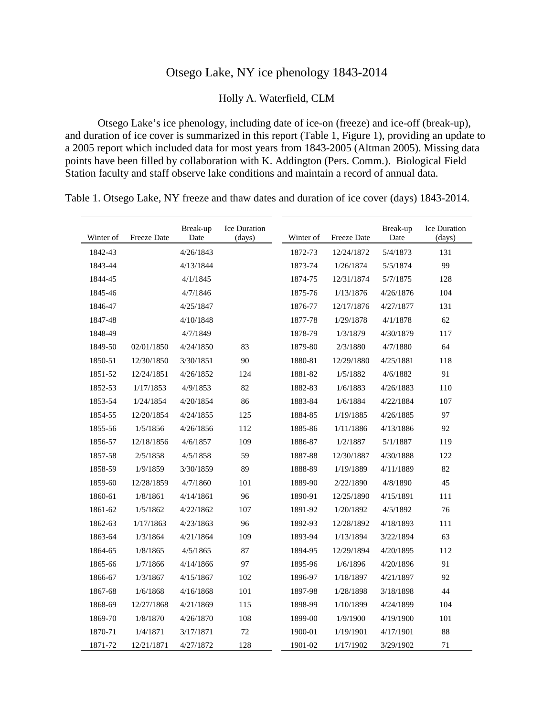## Otsego Lake, NY ice phenology 1843-2014

Holly A. Waterfield, CLM

Otsego Lake's ice phenology, including date of ice-on (freeze) and ice-off (break-up), and duration of ice cover is summarized in this report (Table 1, Figure 1), providing an update to a 2005 report which included data for most years from 1843-2005 (Altman 2005). Missing data points have been filled by collaboration with K. Addington (Pers. Comm.). Biological Field Station faculty and staff observe lake conditions and maintain a record of annual data.

| Winter of | Freeze Date | Break-up<br>Date | <b>Ice Duration</b><br>(days) | Winter of | Freeze Date | Break-up<br>Date | <b>Ice Duration</b><br>(days) |
|-----------|-------------|------------------|-------------------------------|-----------|-------------|------------------|-------------------------------|
| 1842-43   |             | 4/26/1843        |                               | 1872-73   | 12/24/1872  | 5/4/1873         | 131                           |
| 1843-44   |             | 4/13/1844        |                               | 1873-74   | 1/26/1874   | 5/5/1874         | 99                            |
| 1844-45   |             | 4/1/1845         |                               | 1874-75   | 12/31/1874  | 5/7/1875         | 128                           |
| 1845-46   |             | 4/7/1846         |                               | 1875-76   | 1/13/1876   | 4/26/1876        | 104                           |
| 1846-47   |             | 4/25/1847        |                               | 1876-77   | 12/17/1876  | 4/27/1877        | 131                           |
| 1847-48   |             | 4/10/1848        |                               | 1877-78   | 1/29/1878   | 4/1/1878         | 62                            |
| 1848-49   |             | 4/7/1849         |                               | 1878-79   | 1/3/1879    | 4/30/1879        | 117                           |
| 1849-50   | 02/01/1850  | 4/24/1850        | 83                            | 1879-80   | 2/3/1880    | 4/7/1880         | 64                            |
| 1850-51   | 12/30/1850  | 3/30/1851        | 90                            | 1880-81   | 12/29/1880  | 4/25/1881        | 118                           |
| 1851-52   | 12/24/1851  | 4/26/1852        | 124                           | 1881-82   | 1/5/1882    | 4/6/1882         | 91                            |
| 1852-53   | 1/17/1853   | 4/9/1853         | 82                            | 1882-83   | 1/6/1883    | 4/26/1883        | 110                           |
| 1853-54   | 1/24/1854   | 4/20/1854        | 86                            | 1883-84   | 1/6/1884    | 4/22/1884        | 107                           |
| 1854-55   | 12/20/1854  | 4/24/1855        | 125                           | 1884-85   | 1/19/1885   | 4/26/1885        | 97                            |
| 1855-56   | 1/5/1856    | 4/26/1856        | 112                           | 1885-86   | 1/11/1886   | 4/13/1886        | 92                            |
| 1856-57   | 12/18/1856  | 4/6/1857         | 109                           | 1886-87   | 1/2/1887    | 5/1/1887         | 119                           |
| 1857-58   | 2/5/1858    | 4/5/1858         | 59                            | 1887-88   | 12/30/1887  | 4/30/1888        | 122                           |
| 1858-59   | 1/9/1859    | 3/30/1859        | 89                            | 1888-89   | 1/19/1889   | 4/11/1889        | 82                            |
| 1859-60   | 12/28/1859  | 4/7/1860         | 101                           | 1889-90   | 2/22/1890   | 4/8/1890         | 45                            |
| 1860-61   | 1/8/1861    | 4/14/1861        | 96                            | 1890-91   | 12/25/1890  | 4/15/1891        | 111                           |
| 1861-62   | 1/5/1862    | 4/22/1862        | 107                           | 1891-92   | 1/20/1892   | 4/5/1892         | 76                            |
| 1862-63   | 1/17/1863   | 4/23/1863        | 96                            | 1892-93   | 12/28/1892  | 4/18/1893        | 111                           |
| 1863-64   | 1/3/1864    | 4/21/1864        | 109                           | 1893-94   | 1/13/1894   | 3/22/1894        | 63                            |
| 1864-65   | 1/8/1865    | 4/5/1865         | 87                            | 1894-95   | 12/29/1894  | 4/20/1895        | 112                           |
| 1865-66   | 1/7/1866    | 4/14/1866        | 97                            | 1895-96   | 1/6/1896    | 4/20/1896        | 91                            |
| 1866-67   | 1/3/1867    | 4/15/1867        | 102                           | 1896-97   | 1/18/1897   | 4/21/1897        | 92                            |
| 1867-68   | 1/6/1868    | 4/16/1868        | 101                           | 1897-98   | 1/28/1898   | 3/18/1898        | 44                            |
| 1868-69   | 12/27/1868  | 4/21/1869        | 115                           | 1898-99   | 1/10/1899   | 4/24/1899        | 104                           |
| 1869-70   | 1/8/1870    | 4/26/1870        | 108                           | 1899-00   | 1/9/1900    | 4/19/1900        | 101                           |
| 1870-71   | 1/4/1871    | 3/17/1871        | 72                            | 1900-01   | 1/19/1901   | 4/17/1901        | 88                            |
| 1871-72   | 12/21/1871  | 4/27/1872        | 128                           | 1901-02   | 1/17/1902   | 3/29/1902        | 71                            |

Table 1. Otsego Lake, NY freeze and thaw dates and duration of ice cover (days) 1843-2014.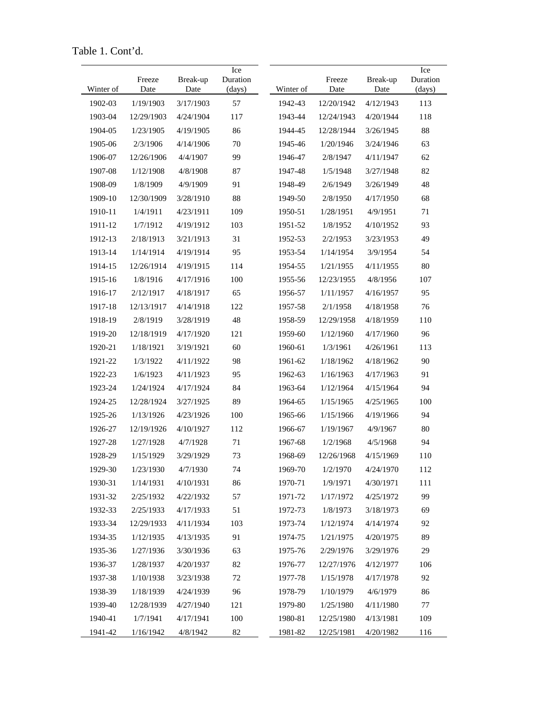Table 1. Cont'd.

| Winter of | Freeze<br>Date | Break-up<br>Date | Ice<br>Duration<br>(days) | Winter of | Freeze<br>Date | Break-up<br>Date | Ice<br>Duration<br>(days) |
|-----------|----------------|------------------|---------------------------|-----------|----------------|------------------|---------------------------|
| 1902-03   | 1/19/1903      | 3/17/1903        | 57                        | 1942-43   | 12/20/1942     | 4/12/1943        | 113                       |
| 1903-04   | 12/29/1903     | 4/24/1904        | 117                       | 1943-44   | 12/24/1943     | 4/20/1944        | 118                       |
| 1904-05   | 1/23/1905      | 4/19/1905        | 86                        | 1944-45   | 12/28/1944     | 3/26/1945        | 88                        |
| 1905-06   | 2/3/1906       | 4/14/1906        | 70                        | 1945-46   | 1/20/1946      | 3/24/1946        | 63                        |
| 1906-07   | 12/26/1906     | 4/4/1907         | 99                        | 1946-47   | 2/8/1947       | 4/11/1947        | 62                        |
| 1907-08   | 1/12/1908      | 4/8/1908         | 87                        | 1947-48   | 1/5/1948       | 3/27/1948        | 82                        |
| 1908-09   | 1/8/1909       | 4/9/1909         | 91                        | 1948-49   | 2/6/1949       | 3/26/1949        | 48                        |
| 1909-10   | 12/30/1909     | 3/28/1910        | 88                        | 1949-50   | 2/8/1950       | 4/17/1950        | 68                        |
| 1910-11   | 1/4/1911       | 4/23/1911        | 109                       | 1950-51   | 1/28/1951      | 4/9/1951         | 71                        |
| 1911-12   | 1/7/1912       | 4/19/1912        | 103                       | 1951-52   | 1/8/1952       | 4/10/1952        | 93                        |
| 1912-13   | 2/18/1913      | 3/21/1913        | 31                        | 1952-53   | 2/2/1953       | 3/23/1953        | 49                        |
| 1913-14   | 1/14/1914      | 4/19/1914        | 95                        | 1953-54   | 1/14/1954      | 3/9/1954         | 54                        |
| 1914-15   | 12/26/1914     | 4/19/1915        | 114                       | 1954-55   | 1/21/1955      | 4/11/1955        | 80                        |
| 1915-16   | 1/8/1916       | 4/17/1916        | 100                       | 1955-56   | 12/23/1955     | 4/8/1956         | 107                       |
| 1916-17   | 2/12/1917      | 4/18/1917        | 65                        | 1956-57   | 1/11/1957      | 4/16/1957        | 95                        |
| 1917-18   | 12/13/1917     | 4/14/1918        | 122                       | 1957-58   | 2/1/1958       | 4/18/1958        | 76                        |
| 1918-19   | 2/8/1919       | 3/28/1919        | 48                        | 1958-59   | 12/29/1958     | 4/18/1959        | 110                       |
| 1919-20   | 12/18/1919     | 4/17/1920        | 121                       | 1959-60   | 1/12/1960      | 4/17/1960        | 96                        |
| 1920-21   | 1/18/1921      | 3/19/1921        | 60                        | 1960-61   | 1/3/1961       | 4/26/1961        | 113                       |
| 1921-22   | 1/3/1922       | 4/11/1922        | 98                        | 1961-62   | 1/18/1962      | 4/18/1962        | 90                        |
| 1922-23   | 1/6/1923       | 4/11/1923        | 95                        | 1962-63   | 1/16/1963      | 4/17/1963        | 91                        |
| 1923-24   | 1/24/1924      | 4/17/1924        | 84                        | 1963-64   | 1/12/1964      | 4/15/1964        | 94                        |
| 1924-25   | 12/28/1924     | 3/27/1925        | 89                        | 1964-65   | 1/15/1965      | 4/25/1965        | 100                       |
| 1925-26   | 1/13/1926      | 4/23/1926        | 100                       | 1965-66   | 1/15/1966      | 4/19/1966        | 94                        |
| 1926-27   | 12/19/1926     | 4/10/1927        | 112                       | 1966-67   | 1/19/1967      | 4/9/1967         | 80                        |
| 1927-28   | 1/27/1928      | 4/7/1928         | 71                        | 1967-68   | 1/2/1968       | 4/5/1968         | 94                        |
| 1928-29   | 1/15/1929      | 3/29/1929        | 73                        | 1968-69   | 12/26/1968     | 4/15/1969        | 110                       |
| 1929-30   | 1/23/1930      | 4/7/1930         | 74                        | 1969-70   | 1/2/1970       | 4/24/1970        | 112                       |
| 1930-31   | 1/14/1931      | 4/10/1931        | 86                        | 1970-71   | 1/9/1971       | 4/30/1971        | 111                       |
| 1931-32   | 2/25/1932      | 4/22/1932        | 57                        | 1971-72   | 1/17/1972      | 4/25/1972        | 99                        |
| 1932-33   | 2/25/1933      | 4/17/1933        | 51                        | 1972-73   | 1/8/1973       | 3/18/1973        | 69                        |
| 1933-34   | 12/29/1933     | 4/11/1934        | 103                       | 1973-74   | 1/12/1974      | 4/14/1974        | 92                        |
| 1934-35   | 1/12/1935      | 4/13/1935        | 91                        | 1974-75   | 1/21/1975      | 4/20/1975        | 89                        |
| 1935-36   | 1/27/1936      | 3/30/1936        | 63                        | 1975-76   | 2/29/1976      | 3/29/1976        | 29                        |
| 1936-37   | 1/28/1937      | 4/20/1937        | 82                        | 1976-77   | 12/27/1976     | 4/12/1977        | 106                       |
| 1937-38   | 1/10/1938      | 3/23/1938        | 72                        | 1977-78   | 1/15/1978      | 4/17/1978        | 92                        |
| 1938-39   | 1/18/1939      | 4/24/1939        | 96                        | 1978-79   | 1/10/1979      | 4/6/1979         | 86                        |
| 1939-40   | 12/28/1939     | 4/27/1940        | 121                       | 1979-80   | 1/25/1980      | 4/11/1980        | 77                        |
| 1940-41   | 1/7/1941       | 4/17/1941        | 100                       | 1980-81   | 12/25/1980     | 4/13/1981        | 109                       |
| 1941-42   | 1/16/1942      | 4/8/1942         | 82                        | 1981-82   | 12/25/1981     | 4/20/1982        | 116                       |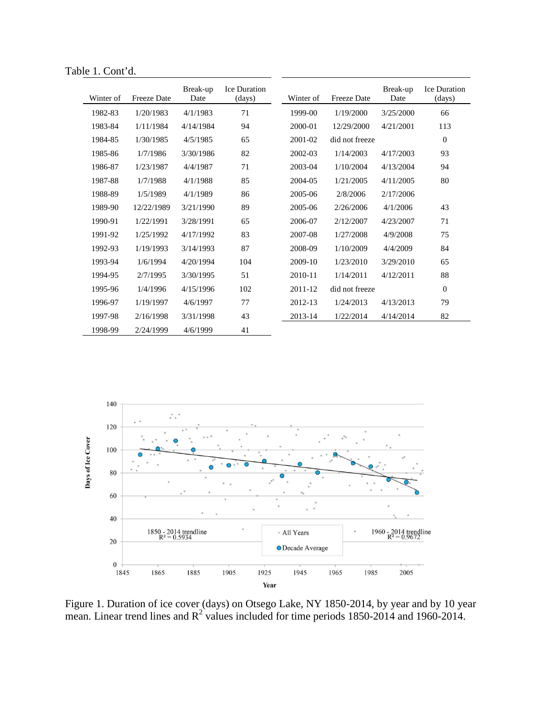Table 1. Cont'd.

| Winter of | Freeze Date | Break-up<br>Date | <b>Ice Duration</b><br>(days) | Winter of | <b>Freeze Date</b> | Break-up<br>Date | <b>Ice Duration</b><br>(days) |
|-----------|-------------|------------------|-------------------------------|-----------|--------------------|------------------|-------------------------------|
| 1982-83   | 1/20/1983   | 4/1/1983         | 71                            | 1999-00   | 1/19/2000          | 3/25/2000        | 66                            |
| 1983-84   | 1/11/1984   | 4/14/1984        | 94                            | 2000-01   | 12/29/2000         | 4/21/2001        | 113                           |
| 1984-85   | 1/30/1985   | 4/5/1985         | 65                            | 2001-02   | did not freeze     |                  | $\theta$                      |
| 1985-86   | 1/7/1986    | 3/30/1986        | 82                            | 2002-03   | 1/14/2003          | 4/17/2003        | 93                            |
| 1986-87   | 1/23/1987   | 4/4/1987         | 71                            | 2003-04   | 1/10/2004          | 4/13/2004        | 94                            |
| 1987-88   | 1/7/1988    | 4/1/1988         | 85                            | 2004-05   | 1/21/2005          | 4/11/2005        | 80                            |
| 1988-89   | 1/5/1989    | 4/1/1989         | 86                            | 2005-06   | 2/8/2006           | 2/17/2006        |                               |
| 1989-90   | 12/22/1989  | 3/21/1990        | 89                            | 2005-06   | 2/26/2006          | 4/1/2006         | 43                            |
| 1990-91   | 1/22/1991   | 3/28/1991        | 65                            | 2006-07   | 2/12/2007          | 4/23/2007        | 71                            |
| 1991-92   | 1/25/1992   | 4/17/1992        | 83                            | 2007-08   | 1/27/2008          | 4/9/2008         | 75                            |
| 1992-93   | 1/19/1993   | 3/14/1993        | 87                            | 2008-09   | 1/10/2009          | 4/4/2009         | 84                            |
| 1993-94   | 1/6/1994    | 4/20/1994        | 104                           | 2009-10   | 1/23/2010          | 3/29/2010        | 65                            |
| 1994-95   | 2/7/1995    | 3/30/1995        | 51                            | 2010-11   | 1/14/2011          | 4/12/2011        | 88                            |
| 1995-96   | 1/4/1996    | 4/15/1996        | 102                           | 2011-12   | did not freeze     |                  | $\boldsymbol{0}$              |
| 1996-97   | 1/19/1997   | 4/6/1997         | 77                            | 2012-13   | 1/24/2013          | 4/13/2013        | 79                            |
| 1997-98   | 2/16/1998   | 3/31/1998        | 43                            | 2013-14   | 1/22/2014          | 4/14/2014        | 82                            |
| 1998-99   | 2/24/1999   | 4/6/1999         | 41                            |           |                    |                  |                               |



Figure 1. Duration of ice cover (days) on Otsego Lake, NY 1850-2014, by year and by 10 year mean. Linear trend lines and  $R^2$  values included for time periods 1850-2014 and 1960-2014.